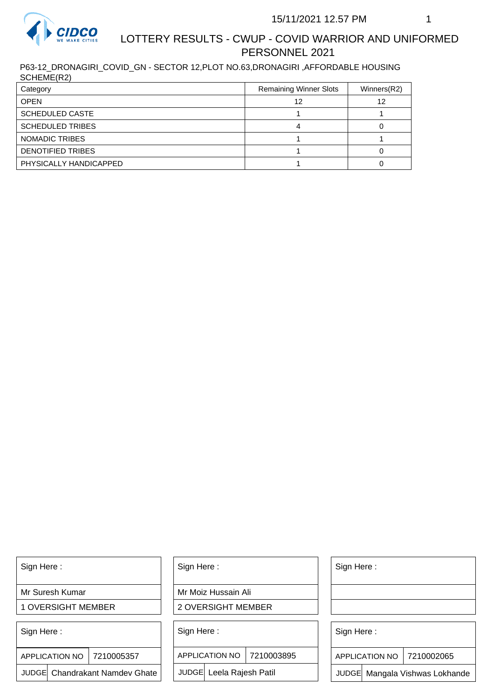

P63-12\_DRONAGIRI\_COVID\_GN - SECTOR 12,PLOT NO.63,DRONAGIRI ,AFFORDABLE HOUSING SCHEME(R2)

| Category                | <b>Remaining Winner Slots</b> | Winners(R2) |
|-------------------------|-------------------------------|-------------|
| <b>OPEN</b>             | 12                            | 12          |
| <b>SCHEDULED CASTE</b>  |                               |             |
| <b>SCHEDULED TRIBES</b> |                               |             |
| NOMADIC TRIBES          |                               |             |
| DENOTIFIED TRIBES       |                               |             |
| PHYSICALLY HANDICAPPED  |                               |             |

Sign Here :

Mr Suresh Kumar

1 OVERSIGHT MEMBER

Sign Here :

7210005357 APPLICATION NO

JUDGE Chandrakant Namdev Ghate

Sign Here :

Mr Moiz Hussain Ali

2 OVERSIGHT MEMBER

Sign Here :

APPLICATION NO 7210003895

JUDGE Leela Rajesh Patil

Sign Here :

Sign Here :

APPLICATION NO | 7210002065

Chandrakant Namdev Ghate  $|\quad|$  JUDGE Leela Rajesh Patil  $|\quad|$  JUDGE Mangala Vishwas Lokhande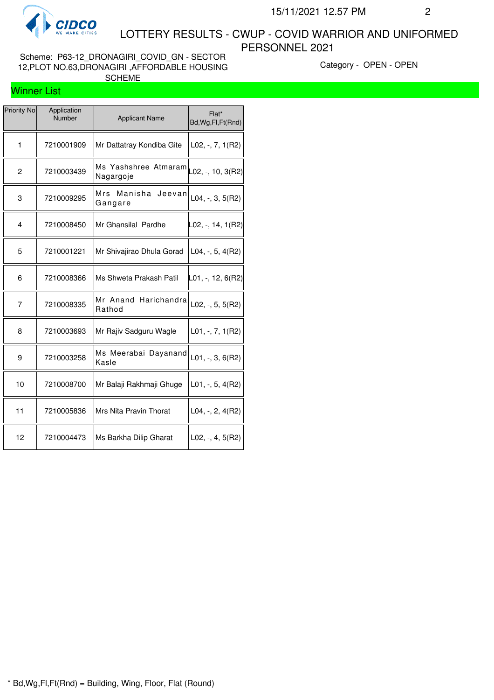

Scheme: P63-12\_DRONAGIRI\_COVID\_GN - SECTOR 12,PLOT NO.63,DRONAGIRI ,AFFORDABLE HOUSING SCHEME

Category - OPEN - OPEN

## Winner List

| <b>Priority No</b> | Application<br>Number | <b>Applicant Name</b>               | Flat*<br>Bd, Wg, Fl, Ft (Rnd) |
|--------------------|-----------------------|-------------------------------------|-------------------------------|
| $\mathbf{1}$       | 7210001909            | Mr Dattatray Kondiba Gite           | $L02, -7, 1(R2)$              |
| 2                  | 7210003439            | Ms Yashshree Atmaram<br>Nagargoje   | L02, -, 10, 3(R2)             |
| 3                  | 7210009295            | Manisha<br>Mrs<br>Jeevan<br>Gangare | $L04, -3, 5(R2)$              |
| 4                  | 7210008450            | Mr Ghansilal Pardhe                 | L02, -, 14, 1(R2)             |
| 5                  | 7210001221            | Mr Shivajirao Dhula Gorad           | $L04, -, 5, 4(R2)$            |
| 6                  | 7210008366            | Ms Shweta Prakash Patil             | L01, -, 12, 6(R2)             |
| 7                  | 7210008335            | Mr Anand Harichandra<br>Rathod      | $L02, -5, 5(R2)$              |
| 8                  | 7210003693            | Mr Rajiv Sadguru Wagle              | $L01, -7, 7, 1(R2)$           |
| 9                  | 7210003258            | Ms Meerabai Dayanand<br>Kasle       | $L01, -3, 6(R2)$              |
| 10                 | 7210008700            | Mr Balaji Rakhmaji Ghuge            | $L01, -5, 4(R2)$              |
| 11                 | 7210005836            | Mrs Nita Pravin Thorat              | $L04, -2, 4(R2)$              |
| 12                 | 7210004473            | Ms Barkha Dilip Gharat              | $L02, -, 4, 5(R2)$            |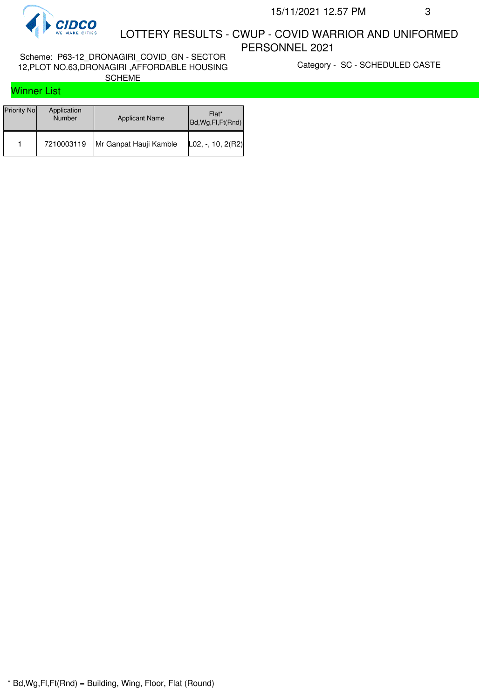

Scheme: P63-12\_DRONAGIRI\_COVID\_GN - SECTOR 12,PLOT NO.63,DRONAGIRI ,AFFORDABLE HOUSING SCHEME

Category - SC - SCHEDULED CASTE

## Winner List

| Priority No | Application<br><b>Number</b> | <b>Applicant Name</b>  | Flat*<br>Bd, Wg, Fl, Ft (Rnd) |
|-------------|------------------------------|------------------------|-------------------------------|
|             | 7210003119                   | Mr Ganpat Hauji Kamble | $ $ L02, -, 10, 2(R2)         |